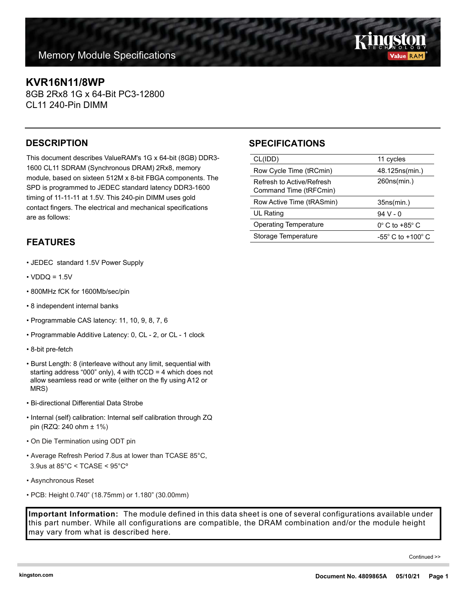# **KVR16N11/8WP**

8GB 2Rx8 1G x 64-Bit PC3-12800 CL11 240-Pin DIMM

#### **DESCRIPTION**

This document describes ValueRAM's 1G x 64-bit (8GB) DDR3- 1600 CL11 SDRAM (Synchronous DRAM) 2Rx8, memory module, based on sixteen 512M x 8-bit FBGA components. The SPD is programmed to JEDEC standard latency DDR3-1600 timing of 11-11-11 at 1.5V. This 240-pin DIMM uses gold contact fingers. The electrical and mechanical specifications are as follows:

## **FEATURES**

- JEDEC standard 1.5V Power Supply
- $\cdot$  VDDQ = 1.5V
- 800MHz fCK for 1600Mb/sec/pin
- 8 independent internal banks
- Programmable CAS latency: 11, 10, 9, 8, 7, 6
- Programmable Additive Latency: 0, CL 2, or CL 1 clock
- 8-bit pre-fetch
- Burst Length: 8 (interleave without any limit, sequential with starting address "000" only), 4 with tCCD = 4 which does not allow seamless read or write (either on the fly using A12 or MRS)
- Bi-directional Differential Data Strobe
- Internal (self) calibration: Internal self calibration through ZQ pin (RZQ: 240 ohm ± 1%)
- On Die Termination using ODT pin
- Average Refresh Period 7.8us at lower than TCASE 85°C, 3.9us at 85°C < TCASE < 95°Cº
- Asynchronous Reset
- PCB: Height 0.740" (18.75mm) or 1.180" (30.00mm)

**Important Information:** The module defined in this data sheet is one of several configurations available under this part number. While all configurations are compatible, the DRAM combination and/or the module height may vary from what is described here.

# **SPECIFICATIONS**

| CL(IDD)                                             | 11 cycles                     |
|-----------------------------------------------------|-------------------------------|
| Row Cycle Time (tRCmin)                             | 48.125ns(min.)                |
| Refresh to Active/Refresh<br>Command Time (tRFCmin) | 260ns(min.)                   |
| Row Active Time (tRASmin)                           |                               |
|                                                     | 35ns(min.)                    |
| UL Rating                                           | $94V - 0$                     |
| <b>Operating Temperature</b>                        | $0^\circ$ C to +85 $^\circ$ C |

Continued >>